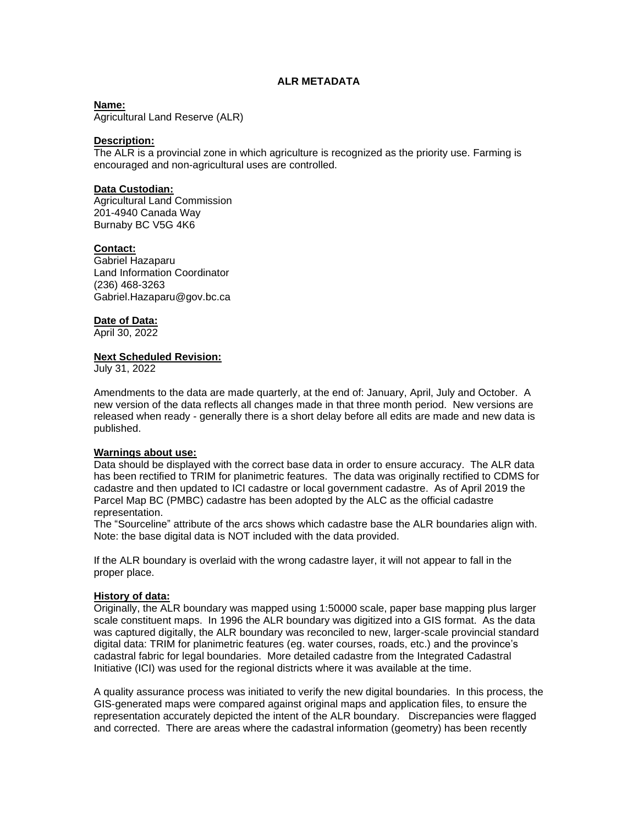# **ALR METADATA**

**Name:**

Agricultural Land Reserve (ALR)

#### **Description:**

The ALR is a provincial zone in which agriculture is recognized as the priority use. Farming is encouraged and non-agricultural uses are controlled.

## **Data Custodian:**

Agricultural Land Commission 201-4940 Canada Way Burnaby BC V5G 4K6

### **Contact:**

Gabriel Hazaparu Land Information Coordinator (236) 468-3263 Gabriel.Hazaparu@gov.bc.ca

#### **Date of Data:**

April 30, 2022

#### **Next Scheduled Revision:**

July 31, 2022

Amendments to the data are made quarterly, at the end of: January, April, July and October. A new version of the data reflects all changes made in that three month period. New versions are released when ready - generally there is a short delay before all edits are made and new data is published.

#### **Warnings about use:**

Data should be displayed with the correct base data in order to ensure accuracy. The ALR data has been rectified to TRIM for planimetric features. The data was originally rectified to CDMS for cadastre and then updated to ICI cadastre or local government cadastre. As of April 2019 the Parcel Map BC (PMBC) cadastre has been adopted by the ALC as the official cadastre representation.

The "Sourceline" attribute of the arcs shows which cadastre base the ALR boundaries align with. Note: the base digital data is NOT included with the data provided.

If the ALR boundary is overlaid with the wrong cadastre layer, it will not appear to fall in the proper place.

#### **History of data:**

Originally, the ALR boundary was mapped using 1:50000 scale, paper base mapping plus larger scale constituent maps. In 1996 the ALR boundary was digitized into a GIS format. As the data was captured digitally, the ALR boundary was reconciled to new, larger-scale provincial standard digital data: TRIM for planimetric features (eg. water courses, roads, etc.) and the province's cadastral fabric for legal boundaries. More detailed cadastre from the Integrated Cadastral Initiative (ICI) was used for the regional districts where it was available at the time.

A quality assurance process was initiated to verify the new digital boundaries. In this process, the GIS-generated maps were compared against original maps and application files, to ensure the representation accurately depicted the intent of the ALR boundary. Discrepancies were flagged and corrected. There are areas where the cadastral information (geometry) has been recently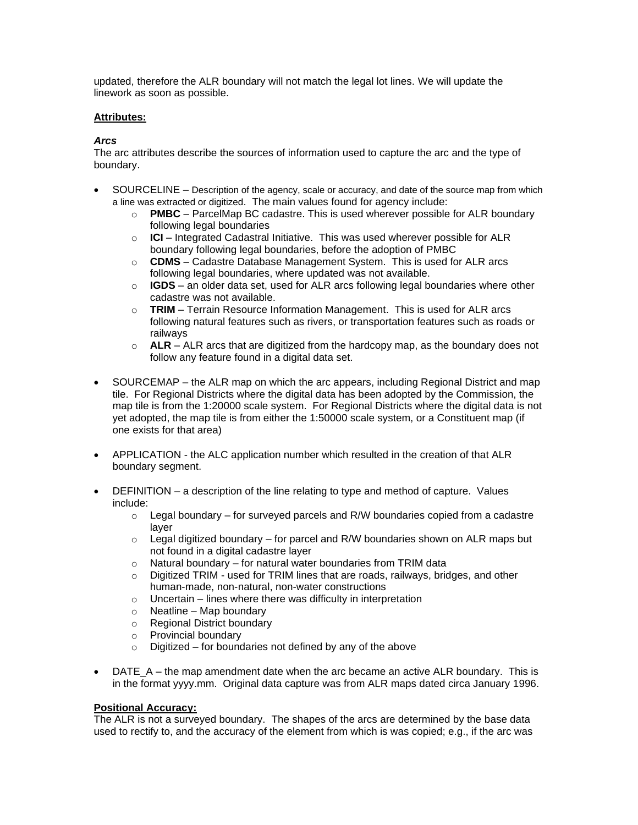updated, therefore the ALR boundary will not match the legal lot lines. We will update the linework as soon as possible.

# **Attributes:**

# *Arcs*

The arc attributes describe the sources of information used to capture the arc and the type of boundary.

- SOURCELINE Description of the agency, scale or accuracy, and date of the source map from which a line was extracted or digitized. The main values found for agency include:
	- o **PMBC** ParcelMap BC cadastre. This is used wherever possible for ALR boundary following legal boundaries
	- o **ICI** Integrated Cadastral Initiative. This was used wherever possible for ALR boundary following legal boundaries, before the adoption of PMBC
	- o **CDMS** Cadastre Database Management System. This is used for ALR arcs following legal boundaries, where updated was not available.
	- o **IGDS** an older data set, used for ALR arcs following legal boundaries where other cadastre was not available.
	- o **TRIM** Terrain Resource Information Management. This is used for ALR arcs following natural features such as rivers, or transportation features such as roads or railways
	- $\circ$  **ALR** ALR arcs that are digitized from the hardcopy map, as the boundary does not follow any feature found in a digital data set.
- SOURCEMAP the ALR map on which the arc appears, including Regional District and map tile. For Regional Districts where the digital data has been adopted by the Commission, the map tile is from the 1:20000 scale system. For Regional Districts where the digital data is not yet adopted, the map tile is from either the 1:50000 scale system, or a Constituent map (if one exists for that area)
- APPLICATION the ALC application number which resulted in the creation of that ALR boundary segment.
- DEFINITION a description of the line relating to type and method of capture. Values include:
	- $\circ$  Legal boundary for surveyed parcels and R/W boundaries copied from a cadastre layer
	- $\circ$  Legal digitized boundary for parcel and R/W boundaries shown on ALR maps but not found in a digital cadastre layer
	- $\circ$  Natural boundary for natural water boundaries from TRIM data
	- $\circ$  Digitized TRIM used for TRIM lines that are roads, railways, bridges, and other human-made, non-natural, non-water constructions
	- $\circ$  Uncertain lines where there was difficulty in interpretation
	- $\circ$  Neatline Map boundary
	- o Regional District boundary
	- o Provincial boundary
	- $\circ$  Digitized for boundaries not defined by any of the above
- DATE  $A$  the map amendment date when the arc became an active ALR boundary. This is in the format yyyy.mm. Original data capture was from ALR maps dated circa January 1996.

## **Positional Accuracy:**

The ALR is not a surveyed boundary. The shapes of the arcs are determined by the base data used to rectify to, and the accuracy of the element from which is was copied; e.g., if the arc was